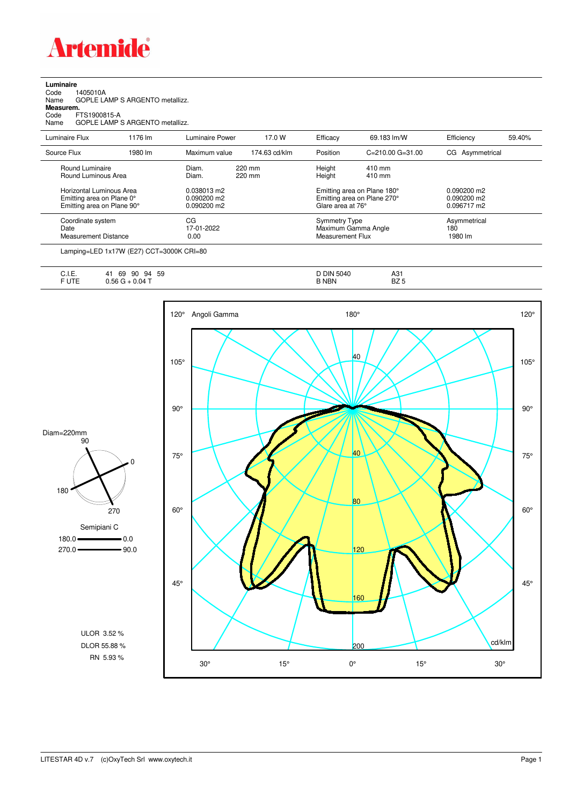

| Luminaire |  |  |
|-----------|--|--|
|           |  |  |

|                           | Round Luminaire |                                 | Diam.                  | 220 mm        | Height   | 410 mm                   |                 |        |
|---------------------------|-----------------|---------------------------------|------------------------|---------------|----------|--------------------------|-----------------|--------|
| Source Flux               |                 | 1980 lm                         | Maximum value          | 174.63 cd/klm | Position | $C = 210.00$ $G = 31.00$ | CG Asymmetrical |        |
| Luminaire Flux            |                 | 1176 lm                         | <b>Luminaire Power</b> | 17.0 W        | Efficacy | 69.183 lm/W              | Efficiency      | 59.40% |
| Measurem.<br>Code<br>Name | FTS1900815-A    | GOPLE LAMP S ARGENTO metallizz. |                        |               |          |                          |                 |        |
| Name                      |                 | GOPLE LAMP S ARGENTO metallizz. |                        |               |          |                          |                 |        |
| Code                      | 1405010A        |                                 |                        |               |          |                          |                 |        |

| Source Flux                                                                         | 1980 lm | Maximum value                                 | 174.63 cd/klm    | Position                                                        | $C = 210.00$ $G = 31.00$                                   | CG Asymmetrical                                      |
|-------------------------------------------------------------------------------------|---------|-----------------------------------------------|------------------|-----------------------------------------------------------------|------------------------------------------------------------|------------------------------------------------------|
| Round Luminaire<br>Round Luminous Area                                              |         | Diam.<br>Diam.                                | 220 mm<br>220 mm | Height<br>Height                                                | 410 mm<br>410 mm                                           |                                                      |
| Horizontal Luminous Area<br>Emitting area on Plane 0°<br>Emitting area on Plane 90° |         | 0.038013 m2<br>$0.090200$ m2<br>$0.090200$ m2 |                  | Glare area at 76°                                               | Emitting area on Plane 180°<br>Emitting area on Plane 270° | $0.090200 \text{ m}$<br>$0.090200$ m2<br>0.096717 m2 |
| Coordinate system<br>Date<br>Measurement Distance                                   |         | CG<br>17-01-2022<br>0.00                      |                  | <b>Symmetry Type</b><br>Maximum Gamma Angle<br>Measurement Flux |                                                            | Asymmetrical<br>180<br>1980 lm                       |

Lamping=LED 1x17W (E27) CCT=3000K CRI=80

| ◡…                | 59<br>90<br>69<br>94 | 5040<br>DIN :<br>. ل | A31          |
|-------------------|----------------------|----------------------|--------------|
| <b>ITE</b><br>UIE | $0.04$ T<br>nr       | <b>NBN</b>           | DZ E<br>DZ 3 |